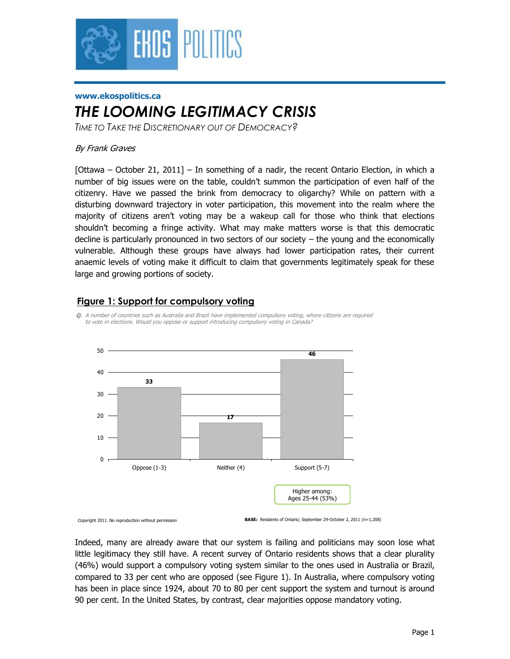

#### **www.ekospolitics.ca**

# *THE LOOMING LEGITIMACY CRISIS*

*TIME TO TAKE THE DISCRETIONARY OUT OF DEMOCRACY?*

### By Frank Graves

[Ottawa – October 21, 2011] – In something of a nadir, the recent Ontario Election, in which a number of big issues were on the table, couldn't summon the participation of even half of the citizenry. Have we passed the brink from democracy to oligarchy? While on pattern with a disturbing downward trajectory in voter participation, this movement into the realm where the majority of citizens aren't voting may be a wakeup call for those who think that elections shouldn't becoming a fringe activity. What may make matters worse is that this democratic decline is particularly pronounced in two sectors of our society – the young and the economically vulnerable. Although these groups have always had lower participation rates, their current anaemic levels of voting make it difficult to claim that governments legitimately speak for these large and growing portions of society.

## **Figure 1: Support for compulsory voting**





Copyright 2011. No reproduction without permission

**BASE:** Residents of Ontario; September 29-October 2, 2011 (n=1,208)

Indeed, many are already aware that our system is failing and politicians may soon lose what little legitimacy they still have. A recent survey of Ontario residents shows that a clear plurality (46%) would support a compulsory voting system similar to the ones used in Australia or Brazil, compared to 33 per cent who are opposed (see Figure 1). In Australia, where compulsory voting has been in place since 1924, about 70 to 80 per cent support the system and turnout is around 90 per cent. In the United States, by contrast, clear majorities oppose mandatory voting.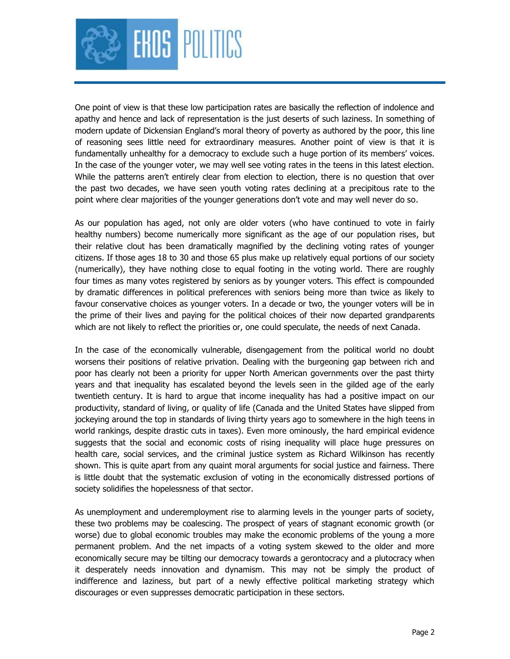

One point of view is that these low participation rates are basically the reflection of indolence and apathy and hence and lack of representation is the just deserts of such laziness. In something of modern update of Dickensian England's moral theory of poverty as authored by the poor, this line of reasoning sees little need for extraordinary measures. Another point of view is that it is fundamentally unhealthy for a democracy to exclude such a huge portion of its members' voices. In the case of the younger voter, we may well see voting rates in the teens in this latest election. While the patterns aren't entirely clear from election to election, there is no question that over the past two decades, we have seen youth voting rates declining at a precipitous rate to the point where clear majorities of the younger generations don't vote and may well never do so.

As our population has aged, not only are older voters (who have continued to vote in fairly healthy numbers) become numerically more significant as the age of our population rises, but their relative clout has been dramatically magnified by the declining voting rates of younger citizens. If those ages 18 to 30 and those 65 plus make up relatively equal portions of our society (numerically), they have nothing close to equal footing in the voting world. There are roughly four times as many votes registered by seniors as by younger voters. This effect is compounded by dramatic differences in political preferences with seniors being more than twice as likely to favour conservative choices as younger voters. In a decade or two, the younger voters will be in the prime of their lives and paying for the political choices of their now departed grandparents which are not likely to reflect the priorities or, one could speculate, the needs of next Canada.

In the case of the economically vulnerable, disengagement from the political world no doubt worsens their positions of relative privation. Dealing with the burgeoning gap between rich and poor has clearly not been a priority for upper North American governments over the past thirty years and that inequality has escalated beyond the levels seen in the gilded age of the early twentieth century. It is hard to argue that income inequality has had a positive impact on our productivity, standard of living, or quality of life (Canada and the United States have slipped from jockeying around the top in standards of living thirty years ago to somewhere in the high teens in world rankings, despite drastic cuts in taxes). Even more ominously, the hard empirical evidence suggests that the social and economic costs of rising inequality will place huge pressures on health care, social services, and the criminal justice system as Richard Wilkinson has recently shown. This is quite apart from any quaint moral arguments for social justice and fairness. There is little doubt that the systematic exclusion of voting in the economically distressed portions of society solidifies the hopelessness of that sector.

As unemployment and underemployment rise to alarming levels in the younger parts of society, these two problems may be coalescing. The prospect of years of stagnant economic growth (or worse) due to global economic troubles may make the economic problems of the young a more permanent problem. And the net impacts of a voting system skewed to the older and more economically secure may be tilting our democracy towards a gerontocracy and a plutocracy when it desperately needs innovation and dynamism. This may not be simply the product of indifference and laziness, but part of a newly effective political marketing strategy which discourages or even suppresses democratic participation in these sectors.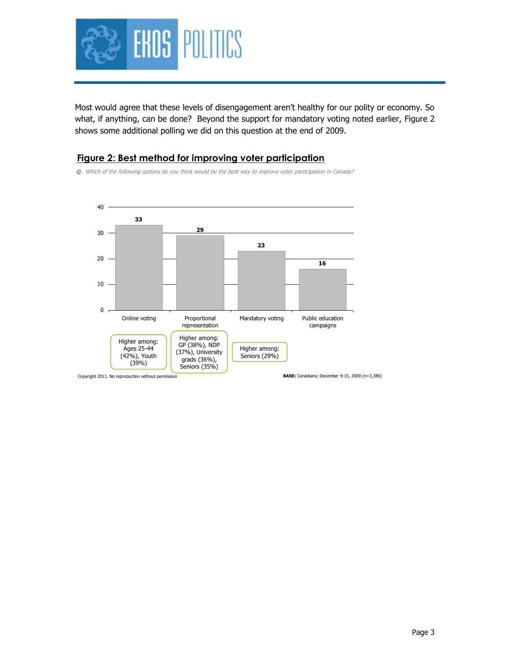

Most would agree that these levels of disengagement aren't healthy for our polity or economy. So what, if anything, can be done? Beyond the support for mandatory voting noted earlier, Figure 2 shows some additional polling we did on this question at the end of 2009.

### **Figure 2: Best method for improving voter participation**

**Q.** Which of the following options do you think would be the best way to improve voter participation in Canada?



Page 3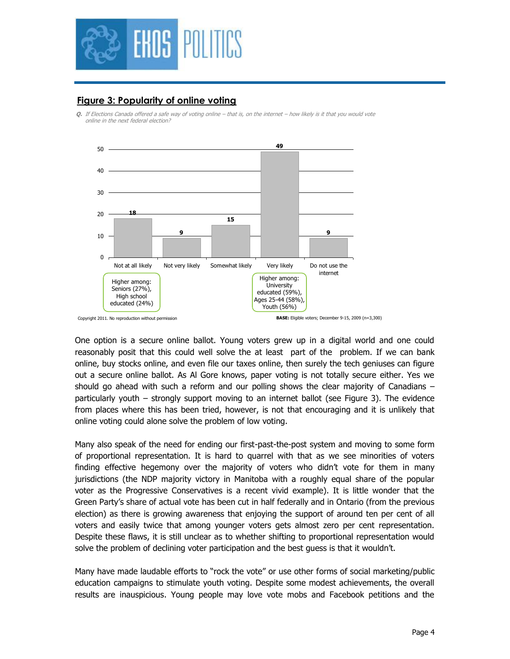

# **Figure 3: Popularity of online voting**

**Q.** If Elections Canada offered a safe way of voting online – that is, on the internet – how likely is it that you would vote online in the next federal election?



One option is a secure online ballot. Young voters grew up in a digital world and one could reasonably posit that this could well solve the at least part of the problem. If we can bank online, buy stocks online, and even file our taxes online, then surely the tech geniuses can figure out a secure online ballot. As Al Gore knows, paper voting is not totally secure either. Yes we should go ahead with such a reform and our polling shows the clear majority of Canadians – particularly youth – strongly support moving to an internet ballot (see Figure 3). The evidence from places where this has been tried, however, is not that encouraging and it is unlikely that online voting could alone solve the problem of low voting.

Many also speak of the need for ending our first-past-the-post system and moving to some form of proportional representation. It is hard to quarrel with that as we see minorities of voters finding effective hegemony over the majority of voters who didn't vote for them in many jurisdictions (the NDP majority victory in Manitoba with a roughly equal share of the popular voter as the Progressive Conservatives is a recent vivid example). It is little wonder that the Green Party's share of actual vote has been cut in half federally and in Ontario (from the previous election) as there is growing awareness that enjoying the support of around ten per cent of all voters and easily twice that among younger voters gets almost zero per cent representation. Despite these flaws, it is still unclear as to whether shifting to proportional representation would solve the problem of declining voter participation and the best guess is that it wouldn't.

Many have made laudable efforts to "rock the vote" or use other forms of social marketing/public education campaigns to stimulate youth voting. Despite some modest achievements, the overall results are inauspicious. Young people may love vote mobs and Facebook petitions and the